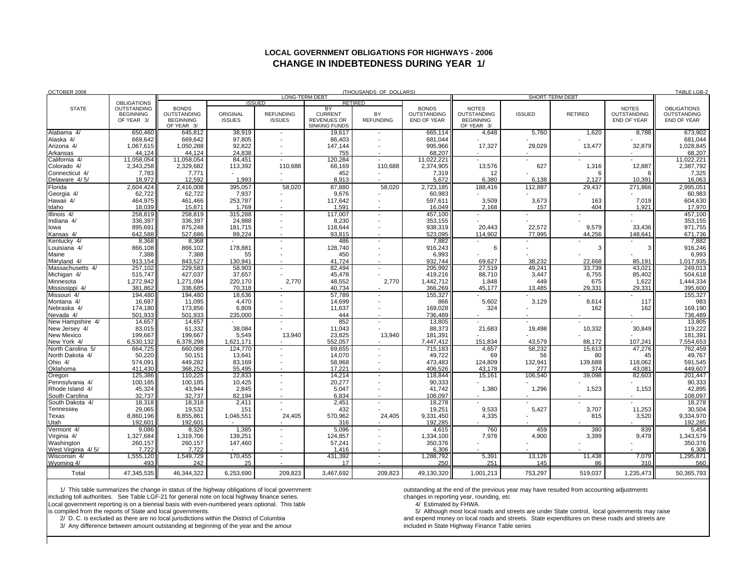## **LOCAL GOVERNMENT OBLIGATIONS FOR HIGHWAYS - 2006CHANGE IN INDEBTEDNESS DURING YEAR 1/**

| OCTOBER 2008                 |                                                                            | (THOUSANDS OF DOLLARS)                                               |                           |                                   |                                                                    |                          |                                                   |                                                               |                  |                 |                                                   | TABLE LGB-2                                             |
|------------------------------|----------------------------------------------------------------------------|----------------------------------------------------------------------|---------------------------|-----------------------------------|--------------------------------------------------------------------|--------------------------|---------------------------------------------------|---------------------------------------------------------------|------------------|-----------------|---------------------------------------------------|---------------------------------------------------------|
| <b>STATE</b>                 | <b>OBLIGATIONS</b><br><b>OUTSTANDING</b><br><b>BEGINNING</b><br>OF YEAR 3/ | LONG-TERM DEBT<br>SHORT-TERM DEBT<br><b>ISSUED</b><br><b>RETIRED</b> |                           |                                   |                                                                    |                          |                                                   |                                                               |                  |                 |                                                   |                                                         |
|                              |                                                                            | <b>BONDS</b><br>OUTSTANDING<br><b>BEGINNING</b><br>OF YEAR 3/        | ORIGINAL<br><b>ISSUES</b> | <b>REFUNDING</b><br><b>ISSUES</b> | BY<br><b>CURRENT</b><br><b>REVENUES OR</b><br><b>SINKING FUNDS</b> | BY<br><b>REFUNDING</b>   | <b>BONDS</b><br>OUTSTANDING<br><b>END OF YEAR</b> | <b>NOTES</b><br>OUTSTANDING<br><b>BEGINNING</b><br>OF YEAR 3/ | <b>ISSUED</b>    | <b>RETIRED</b>  | <b>NOTES</b><br>OUTSTANDING<br><b>END OF YEAR</b> | <b>OBLIGATIONS</b><br><b>OUTSTANDING</b><br>END OF YEAR |
| Alabama 4/                   | 650.460                                                                    | 645,812                                                              | 38,919                    |                                   | 19,617                                                             |                          | 665,114                                           | 4,648                                                         | 5,760            | 1,620           | 8,788                                             | 673,902                                                 |
| Alaska 4/                    | 669.642                                                                    | 669.642                                                              | 97,805                    |                                   | 86.403                                                             |                          | 681,044                                           |                                                               |                  |                 |                                                   | 681,044                                                 |
| Arizona 4/                   | 1,067,615                                                                  | 1,050,288                                                            | 92,822                    |                                   | 147,144                                                            |                          | 995,966                                           | 17,327                                                        | 29,029           | 13,477          | 32,879                                            | 1,028,845                                               |
| Arkansas                     | 44,124                                                                     | 44.124                                                               | 24,838                    |                                   | 755                                                                |                          | 68,207                                            |                                                               |                  |                 |                                                   | 68,207                                                  |
| California 4/<br>Colorado 4/ | 11,058,054<br>2,343,258                                                    | 11,058,054<br>2,329,682                                              | 84,451<br>113,392         | 110.688                           | 120,284<br>68,169                                                  | 110.688                  | 11,022,221<br>2,374,905                           | 13,576                                                        | 627              | 1,316           | 12,887                                            | 11,022,221<br>2,387,792                                 |
| Connecticut 4/               | 7,783                                                                      | 7,771                                                                |                           |                                   | 452                                                                |                          | 7,319                                             | 12                                                            |                  |                 | 6                                                 | 7,325                                                   |
| Delaware 4/5/                | 18,972                                                                     | 12,592                                                               | 1,993                     |                                   | 8,913                                                              |                          | 5,672                                             | 6,380                                                         | 6.138            | 2,127           | 10,391                                            | 16,063                                                  |
| Florida                      | 2,604,424                                                                  | 2,416,008                                                            | 395,057                   | 58,020                            | 87,880                                                             | 58,020                   | 2,723,185                                         | 188,416                                                       | 112,887          | 29,437          | 271,866                                           | 2,995,051                                               |
| Georgia 4/                   | 62,722                                                                     | 62,722                                                               | 7,937                     |                                   | 9,676                                                              |                          | 60,983                                            |                                                               |                  |                 |                                                   | 60,983                                                  |
| Hawaii 4/                    | 464,975                                                                    | 461,466                                                              | 253,787                   |                                   | 117,642                                                            |                          | 597,611                                           | 3,509                                                         | 3,673            | 163             | 7,019                                             | 604,630                                                 |
| daho                         | 18.039                                                                     | 15.871                                                               | 1.769                     |                                   | 1.591                                                              |                          | 16.049                                            | 2.168                                                         | 157              | 404             | 1.921                                             | 17,970                                                  |
| Illinois 4/                  | 258,819                                                                    | 258,819                                                              | 315,288                   |                                   | 117,007                                                            |                          | 457,100                                           |                                                               |                  |                 |                                                   | 457,100                                                 |
| ndiana 4/                    | 336,397                                                                    | 336.397                                                              | 24,988                    |                                   | 8.230                                                              |                          | 353,155                                           |                                                               |                  |                 |                                                   | 353,155                                                 |
| lowa<br>Kansas 4/            | 895,691<br>642,588                                                         | 875,248<br>527,686                                                   | 181,715<br>89,224         |                                   | 118,644<br>93,815                                                  |                          | 938,319<br>523,095                                | 20.443<br>114,902                                             | 22,572<br>77.995 | 9,579<br>44,256 | 33,436<br>148,641                                 | 971,755<br>671,736                                      |
| Kentucky 4/                  | 8,368                                                                      | 8,368                                                                |                           | $\overline{\phantom{a}}$          | 486                                                                |                          | 7,882                                             |                                                               |                  |                 |                                                   | 7,882                                                   |
| Louisiana 4/                 | 866,108                                                                    | 866,102                                                              | 178,881                   |                                   | 128,740                                                            |                          | 916,243                                           | 6                                                             |                  | 3               | 3                                                 | 916,246                                                 |
| Maine                        | 7,388                                                                      | 7,388                                                                | 55                        |                                   | 450                                                                |                          | 6,993                                             |                                                               |                  |                 |                                                   | 6,993                                                   |
| Marvland 4/                  | 913.154                                                                    | 843.527                                                              | 130.941                   |                                   | 41.724                                                             |                          | 932.744                                           | 69.627                                                        | 38.232           | 22,668          | 85,191                                            | 1,017,935                                               |
| Massachusetts 4/             | 257.102                                                                    | 229.583                                                              | 58.903                    | $\overline{\phantom{a}}$          | 82.494                                                             |                          | 205.992                                           | 27.519                                                        | 49.241           | 33.739          | 43.021                                            | 249.013                                                 |
| Michigan 4/                  | 515,747                                                                    | 427,037                                                              | 37,657                    |                                   | 45,478                                                             |                          | 419,216                                           | 88,710                                                        | 3,447            | 6,755           | 85,402                                            | 504,618                                                 |
| Minnesota                    | 1,272,942                                                                  | 1,271,094                                                            | 220,170                   | 2.770                             | 48,552                                                             | 2.770                    | 1,442,712                                         | 1,848                                                         | 449              | 675             | 1,622                                             | 1,444,334                                               |
| Mississippi 4/               | 381,862                                                                    | 336,685                                                              | 70,318                    |                                   | 40,734                                                             |                          | 366,269                                           | 45,177                                                        | 13,485           | 29,331          | 29,331                                            | 395,600                                                 |
| Missouri 4/<br>Montana 4/    | 194,480<br>16,697                                                          | 194,480<br>11,095                                                    | 18,636<br>4,470           |                                   | 57,789<br>14,699                                                   |                          | 155,327<br>866                                    | 5,602                                                         | 3,129            | 8,614           | 117                                               | 155,327<br>983                                          |
| Nebraska 4/                  | 174,180                                                                    | 173,856                                                              | 6,809                     |                                   | 11,637                                                             |                          | 169,028                                           | 324                                                           |                  | 162             | 162                                               | 169,190                                                 |
| Nevada 4/                    | 501.933                                                                    | 501.933                                                              | 235.000                   |                                   | 444                                                                |                          | 736.489                                           |                                                               |                  |                 |                                                   | 736,489                                                 |
| New Hampshire 4/             | 14,657                                                                     | 14,657                                                               |                           |                                   | 852                                                                |                          | 13,805                                            |                                                               |                  |                 |                                                   | 13,805                                                  |
| New Jersey 4/                | 83,015                                                                     | 61,332                                                               | 38,084                    |                                   | 11,043                                                             |                          | 88,373                                            | 21,683                                                        | 19,498           | 10,332          | 30,849                                            | 119,222                                                 |
| New Mexico                   | 199,667                                                                    | 199,667                                                              | 5,549                     | 13,940                            | 23,825                                                             | 13,940                   | 181,391                                           |                                                               |                  |                 |                                                   | 181,391                                                 |
| New York 4/                  | 6.530.132                                                                  | 6.378.298                                                            | 1.621.171                 |                                   | 552.057                                                            |                          | 7.447.412                                         | 151.834                                                       | 43.579           | 88.172          | 107.241                                           | 7,554,653                                               |
| North Carolina 5/            | 664,725                                                                    | 660,068                                                              | 124,770                   |                                   | 69,655                                                             |                          | 715,183                                           | 4,657                                                         | 58,232           | 15,613          | 47,276                                            | 762,459                                                 |
| North Dakota 4/<br>Ohio 4/   | 50,220<br>574,091                                                          | 50.151<br>449,282                                                    | 13,641<br>83,169          | $\overline{\phantom{a}}$          | 14,070<br>58,968                                                   |                          | 49.722<br>473,483                                 | 69<br>124,809                                                 | 56<br>132,941    | 80<br>139,688   | 45<br>118,062                                     | 49,767<br>591,545                                       |
| Oklahoma                     | 411,430                                                                    | 368.252                                                              | 55,495                    |                                   | 17.221                                                             |                          | 406,526                                           | 43.178                                                        | 277              | 374             | 43.081                                            | 449,607                                                 |
| Oregon                       | 125,386                                                                    | 110,225                                                              | 22,833                    |                                   | 14,214                                                             |                          | 118,844                                           | 15,161                                                        | 106,540          | 39,098          | 82,603                                            | 201,447                                                 |
| Pennsylvania 4/              | 100,185                                                                    | 100,185                                                              | 10,425                    |                                   | 20,277                                                             |                          | 90,333                                            |                                                               |                  |                 |                                                   | 90,333                                                  |
| Rhode Island 4/              | 45,324                                                                     | 43,944                                                               | 2,845                     |                                   | 5,047                                                              |                          | 41,742                                            | 1,380                                                         | 1,296            | 1,523           | 1,153                                             | 42,895                                                  |
| South Carolina               | 32.737                                                                     | 32.737                                                               | 82.194                    |                                   | 6.834                                                              |                          | 108.097                                           |                                                               |                  |                 |                                                   | 108,097                                                 |
| South Dakota 4/              | 18,318                                                                     | 18,318                                                               | 2,411                     |                                   | 2,451                                                              |                          | 18,278                                            |                                                               |                  |                 |                                                   | 18,278                                                  |
| Tennessee                    | 29.065                                                                     | 19.532                                                               | 151                       |                                   | 432                                                                |                          | 19,251                                            | 9.533                                                         | 5.427            | 3,707           | 11,253                                            | 30,504                                                  |
| Texas<br>Utah                | 8,860,196<br>192.601                                                       | 8,855,861<br>192.601                                                 | 1,046,551                 | 24.405                            | 570,962<br>316                                                     | 24.405                   | 9,331,450<br>192.285                              | 4.335                                                         |                  | 815             | 3,520                                             | 9,334,970<br>192,285                                    |
| Vermont 4/                   | 9,086                                                                      | 8,326                                                                | 1,385                     | $\blacksquare$                    | 5,096                                                              | $\overline{\phantom{a}}$ | 4,615                                             | 760                                                           | 459              | 380             | 839                                               | 5,454                                                   |
| Virginia 4/                  | 1,327,684                                                                  | 1,319,706                                                            | 139,251                   |                                   | 124,857                                                            |                          | 1,334,100                                         | 7,978                                                         | 4,900            | 3,399           | 9,479                                             | 1,343,579                                               |
| Washington                   | 260,157                                                                    | 260,157                                                              | 147,460                   |                                   | 57,241                                                             |                          | 350,376                                           |                                                               |                  |                 |                                                   | 350,376                                                 |
| West Virginia 4/5/           | 7.722                                                                      | 7.722                                                                |                           |                                   | 1.416                                                              |                          | 6,306                                             |                                                               |                  |                 |                                                   | 6,306                                                   |
| Wisconsin 4/                 | 1.555.120                                                                  | 1.549.729                                                            | 170,455                   | $\overline{\phantom{a}}$          | 431.392                                                            | $\overline{\phantom{a}}$ | 1.288.792                                         | 5.391                                                         | 13,126           | 11.438          | 7.079                                             | 1.295.871                                               |
| Wyoming 4/                   | 493                                                                        | 242                                                                  | 25                        |                                   | 17                                                                 |                          | 250                                               | 251                                                           | 145              | 86              | 310                                               | 560                                                     |
| Total                        | 47,345,535                                                                 | 46,344,322                                                           | 6,253,690                 | 209.823                           | 3,467,692                                                          | 209,823                  | 49,130,320                                        | 1,001,213                                                     | 753,297          | 519,037         | 1,235,473                                         | 50,365,793                                              |

1/ This table summarizes the change in status of the highway obligations of local government:<br>uding toll authorities. See Table LGF-21 for general note on local highway finance series. <br>changes in reporting year, rounding, including toll authorities. See Table LGF-21 for general note on local highway finance series. changes in reporting year, rounding, etc Local government reporting is on a biennial basis with even-numbered years optional. This table 4/ Estimated by FHWA.

3/ Any difference between amount outstanding at beginning of the year and the amour

is compiled from the reports of State and local governments.<br>
S/ Although most local roads and streets are under State control, local governments may raise<br>
2/ D. C. is excluded as there are no local gives directs within t and expend money on local roads and streets. State expenditures on these roads and streets are included in State Highway Finance Table series